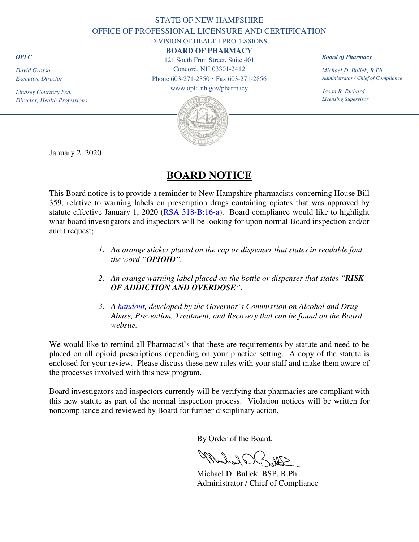## STATE OF NEW HAMPSHIRE OFFICE OF PROFESSIONAL LICENSURE AND CERTIFICATION

DIVISION OF HEALTH PROFESSIONS

**BOARD OF PHARMACY**

121 South Fruit Street, Suite 401 Concord, NH 03301-2412 Phone 603-271-2350 **·** Fax 603-271-2856

www.oplc.nh.gov/pharmacy



*Board of Pharmacy*

*Michael D. Bullek, R.Ph. Administrator / Chief of Compliance* 

*Jason R. Richard Licensing Supervisor*

January 2, 2020

## **BOARD NOTICE**

This Board notice is to provide a reminder to New Hampshire pharmacists concerning House Bill 359, relative to warning labels on prescription drugs containing opiates that was approved by statute effective January 1, 2020 ([RSA 318-B:16-a](http://www.gencourt.state.nh.us/rsa/html/XXX/318-B/318-B-16-a.htm)). Board compliance would like to highlight what board investigators and inspectors will be looking for upon normal Board inspection and/or audit request;

- *1. An orange sticker placed on the cap or dispenser that states in readable font the word "OPIOID".*
- *2. An orange warning label placed on the bottle or dispenser that states "RISK OF ADDICTION AND OVERDOSE".*
- *3. A [handout,](https://www.oplc.nh.gov/pharmacy/documents/opioid-info-card.pdf) developed by the Governor's Commission on Alcohol and Drug Abuse, Prevention, Treatment, and Recovery that can be found on the Board website.*

We would like to remind all Pharmacist's that these are requirements by statute and need to be placed on all opioid prescriptions depending on your practice setting. A copy of the statute is enclosed for your review. Please discuss these new rules with your staff and make them aware of the processes involved with this new program.

Board investigators and inspectors currently will be verifying that pharmacies are compliant with this new statute as part of the normal inspection process. Violation notices will be written for noncompliance and reviewed by Board for further disciplinary action.

By Order of the Board,

Dal London MP

 Michael D. Bullek, BSP, R.Ph. Administrator / Chief of Compliance

*OPLC*

*David Grosso Executive Director* 

*Lindsey Courtney Esq. Director, Health Professions*